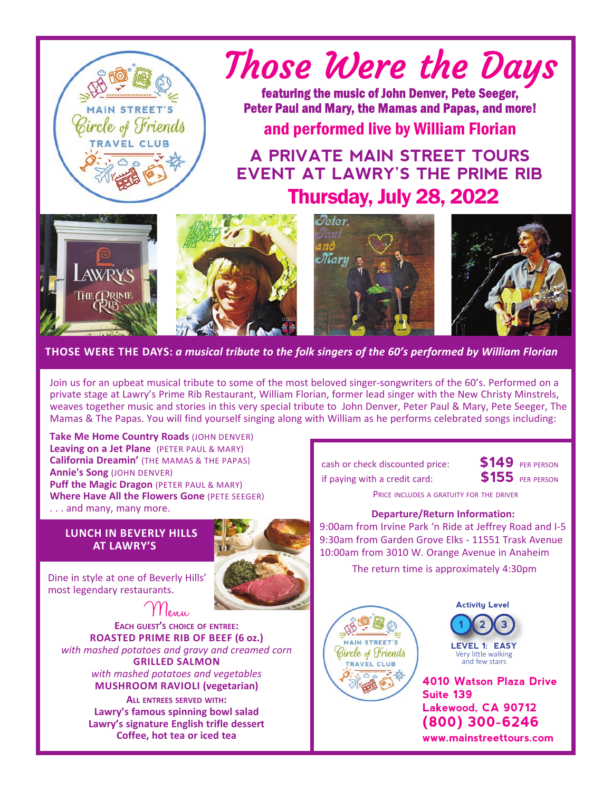

## Those Were the Days

featuring the music of John Denver, Pete Seeger, Peter Paul and Mary, the Mamas and Papas, and more!

and performed live by William Florian

Thursday, July 28, 2022 **A PRIVATE MAIN STREET TOURS EVENT AT LAWRY'S THE PRIME RIB**









 **THOSE WERE THE DAYS:** *a musical tribute to the folk singers of the 60's performed by William Florian*

Join us for an upbeat musical tribute to some of the most beloved singer-songwriters of the 60's. Performed on a private stage at Lawry's Prime Rib Restaurant, William Florian, former lead singer with the New Christy Minstrels, weaves together music and stories in this very special tribute to John Denver, Peter Paul & Mary, Pete Seeger, The Mamas & The Papas. You will find yourself singing along with William as he performs celebrated songs including:

**Take Me Home Country Roads (JOHN DENVER) Leaving on a Jet Plane** (PETER PAUL & MARY) **California Dreamin'** (THE MAMAS & THE PAPAS) **Annie's Song** (JOHN DENVER) **Puff the Magic Dragon** (PETER PAUL & MARY) **Where Have All the Flowers Gone** (PETE SEEGER) . . . and many, many more.

## **LUNCH IN BEVERLY HILLS AT LAWRY'S**



Dine in style at one of Beverly Hills' most legendary restaurants.

 Menu **EACH GUEST'S CHOICE OF ENTREE: ROASTED PRIME RIB OF BEEF (6 oz.)**  *with mashed potatoes and gravy and creamed corn*  **GRILLED SALMON**  *with mashed potatoes and vegetables*  **MUSHROOM RAVIOLI (vegetarian)** 

> **ALL ENTREES SERVED WITH: Lawry's famous spinning bowl salad Lawry's signature English trifle dessert Coffee, hot tea or iced tea**

 cash or check discounted price: **\$149** PER PERSON if paying with a credit card: **\$155** PER PERSON



PRICE INCLUDES A GRATUITY FOR THE DRIVER

## **Departure/Return Information:**

9:00am from Irvine Park 'n Ride at Jeffrey Road and I-5 9:30am from Garden Grove Elks - 11551 Trask Avenue 10:00am from 3010 W. Orange Avenue in Anaheim

The return time is approximately 4:30pm





**1 2 3 LEVEL 1: EASY**  Very little walking and few stairs

**4010 Watson Plaza Drive Suite 139 Lakewood, CA 90712 (800) 300-6246 www.mainstreettours.com**